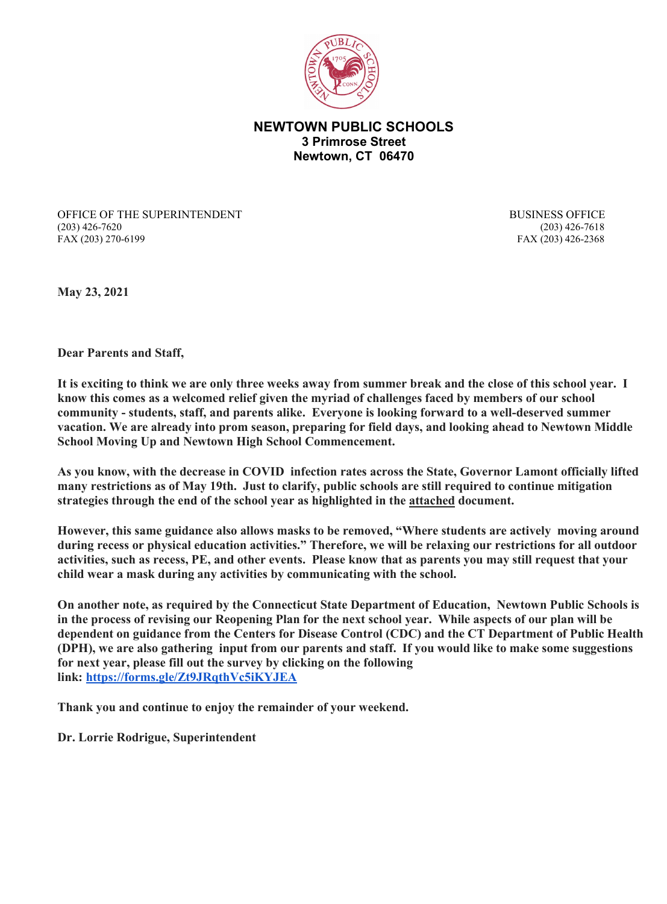

**NEWTOWN PUBLIC SCHOOLS 3 Primrose Street Newtown, CT 06470**

OFFICE OF THE SUPERINTENDENT BUSINESS OFFICE (203) 426-7620 (203) 426-7618 FAX (203) 270-6199 FAX (203) 426-2368

**May 23, 2021**

**Dear Parents and Staff,**

**It is exciting to think we are only three weeks away from summer break and the close of this school year. I know this comes as a welcomed relief given the myriad of challenges faced by members of our school community - students, staff, and parents alike. Everyone is looking forward to a well-deserved summer vacation. We are already into prom season, preparing for field days, and looking ahead to Newtown Middle School Moving Up and Newtown High School Commencement.** 

**As you know, with the decrease in COVID infection rates across the State, Governor Lamont officially lifted many restrictions as of May 19th. Just to clarify, public schools are still required to continue mitigation strategies through the end of the school year as highlighted in the attached document.** 

**However, this same guidance also allows masks to be removed, "Where students are actively moving around during recess or physical education activities." Therefore, we will be relaxing our restrictions for all outdoor activities, such as recess, PE, and other events. Please know that as parents you may still request that your child wear a mask during any activities by communicating with the school.**

**On another note, as required by the Connecticut State Department of Education, Newtown Public Schools is in the process of revising our Reopening Plan for the next school year. While aspects of our plan will be dependent on guidance from the Centers for Disease Control (CDC) and the CT Department of Public Health (DPH), we are also gathering input from our parents and staff. If you would like to make some suggestions for next year, please fill out the survey by clicking on the following link: [https://forms.gle/Zt9JRqthVc5iKYJEA](http://track.spe.schoolmessenger.com/f/a/Z7pgIx8ubrznJA5MVs-Xrg%7E%7E/AAAAAQA%7E/RgRii9AyP0QjaHR0cHM6Ly9mb3Jtcy5nbGUvWnQ5SlJxdGhWYzVpS1lKRUFXB3NjaG9vbG1CCmCospyqYCEgZhVSGW1vcnJpc2pAbmV3dG93bi5rMTIuY3QudXNYBAAAAAE%7E)**

**Thank you and continue to enjoy the remainder of your weekend.**

**Dr. Lorrie Rodrigue, Superintendent**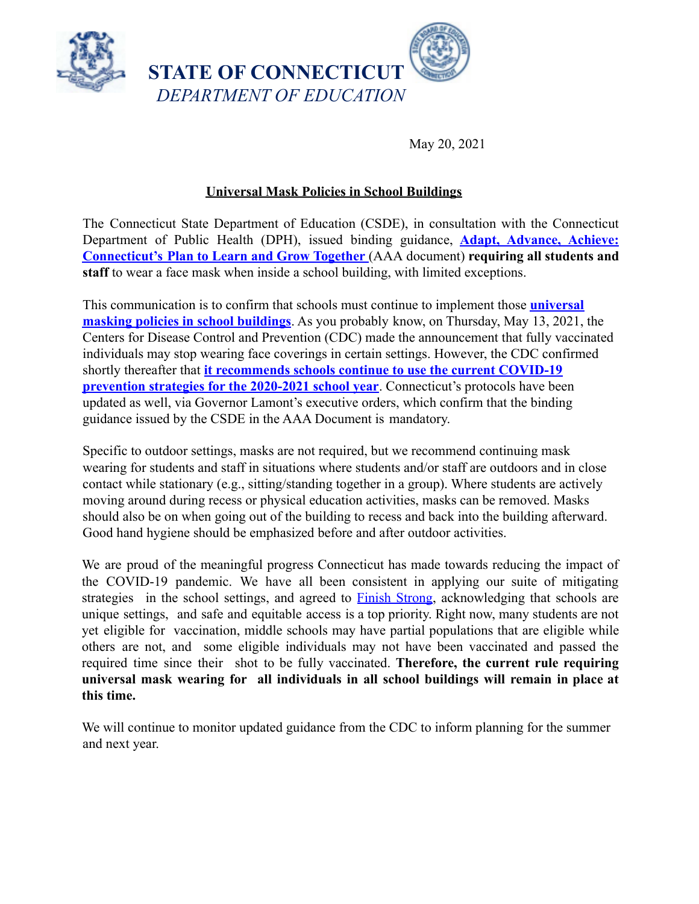

May 20, 2021

## **Universal Mask Policies in School Buildings**

The Connecticut State Department of Education (CSDE), in consultation with the Connecticut Department of Public Health (DPH), issued binding guidance, **Adapt, Advance, Achieve: Connecticut's Plan to Learn and Grow Together** (AAA document) **requiring all students and staff** to wear a face mask when inside a school building, with limited exceptions.

This communication is to confirm that schools must continue to implement those **universal masking policies in school buildings**. As you probably know, on Thursday, May 13, 2021, the Centers for Disease Control and Prevention (CDC) made the announcement that fully vaccinated individuals may stop wearing face coverings in certain settings. However, the CDC confirmed shortly thereafter that **it recommends schools continue to use the current COVID-19 prevention strategies for the 2020-2021 school year**. Connecticut's protocols have been updated as well, via Governor Lamont's executive orders, which confirm that the binding guidance issued by the CSDE in the AAA Document is mandatory.

Specific to outdoor settings, masks are not required, but we recommend continuing mask wearing for students and staff in situations where students and/or staff are outdoors and in close contact while stationary (e.g., sitting/standing together in a group). Where students are actively moving around during recess or physical education activities, masks can be removed. Masks should also be on when going out of the building to recess and back into the building afterward. Good hand hygiene should be emphasized before and after outdoor activities.

We are proud of the meaningful progress Connecticut has made towards reducing the impact of the COVID-19 pandemic. We have all been consistent in applying our suite of mitigating strategies in the school settings, and agreed to Finish Strong, acknowledging that schools are unique settings, and safe and equitable access is a top priority. Right now, many students are not yet eligible for vaccination, middle schools may have partial populations that are eligible while others are not, and some eligible individuals may not have been vaccinated and passed the required time since their shot to be fully vaccinated. **Therefore, the current rule requiring universal mask wearing for all individuals in all school buildings will remain in place at this time.**

We will continue to monitor updated guidance from the CDC to inform planning for the summer and next year.